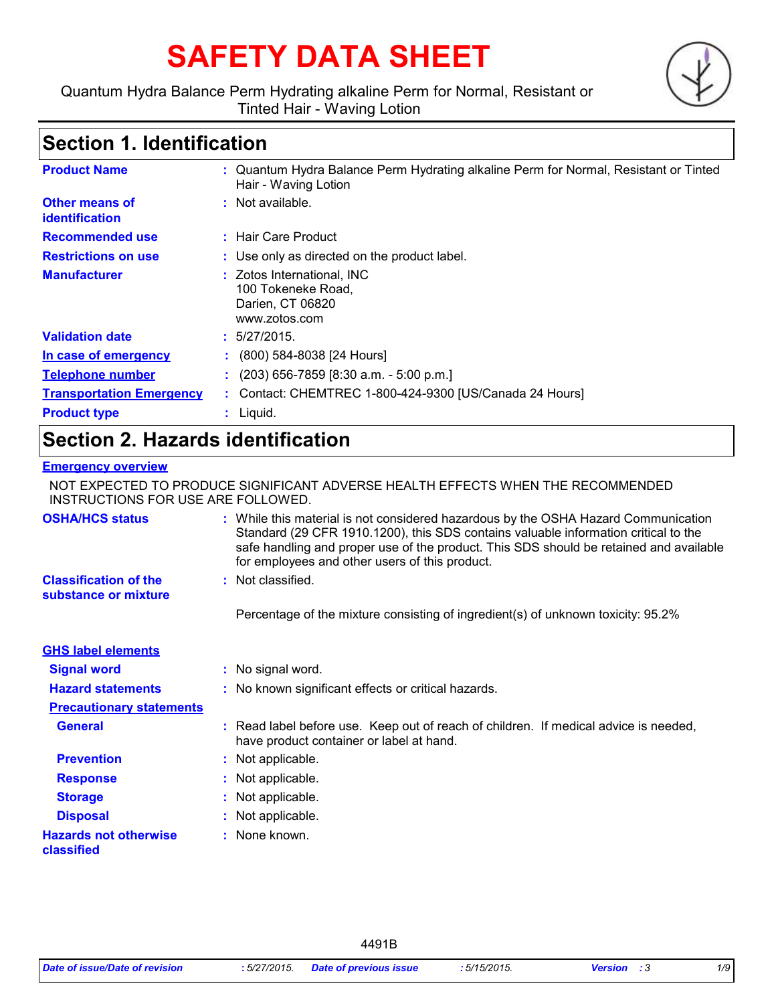# **SAFETY DATA SHEET**

#### Quantum Hydra Balance Perm Hydrating alkaline Perm for Normal, Resistant or Tinted Hair - Waving Lotion



# **Section 1. Identification**

| <b>Product Name</b>              | : Quantum Hydra Balance Perm Hydrating alkaline Perm for Normal, Resistant or Tinted<br>Hair - Waving Lotion |
|----------------------------------|--------------------------------------------------------------------------------------------------------------|
| Other means of<br>identification | $:$ Not available.                                                                                           |
| <b>Recommended use</b>           | : Hair Care Product                                                                                          |
| <b>Restrictions on use</b>       | : Use only as directed on the product label.                                                                 |
| <b>Manufacturer</b>              | : Zotos International, INC<br>100 Tokeneke Road,<br>Darien, CT 06820<br>www.zotos.com                        |
| <b>Validation date</b>           | : 5/27/2015.                                                                                                 |
| In case of emergency             | $\colon$ (800) 584-8038 [24 Hours]                                                                           |
| <b>Telephone number</b>          | $(203)$ 656-7859 [8:30 a.m. - 5:00 p.m.]                                                                     |
| <b>Transportation Emergency</b>  | : Contact: CHEMTREC 1-800-424-9300 [US/Canada 24 Hours]                                                      |
| <b>Product type</b>              | $:$ Liquid.                                                                                                  |

# **Section 2. Hazards identification**

#### **Emergency overview**

NOT EXPECTED TO PRODUCE SIGNIFICANT ADVERSE HEALTH EFFECTS WHEN THE RECOMMENDED INSTRUCTIONS FOR USE ARE FOLLOWED.

| <b>OSHA/HCS status</b>                               | : While this material is not considered hazardous by the OSHA Hazard Communication<br>Standard (29 CFR 1910.1200), this SDS contains valuable information critical to the<br>safe handling and proper use of the product. This SDS should be retained and available<br>for employees and other users of this product. |
|------------------------------------------------------|-----------------------------------------------------------------------------------------------------------------------------------------------------------------------------------------------------------------------------------------------------------------------------------------------------------------------|
| <b>Classification of the</b><br>substance or mixture | : Not classified.                                                                                                                                                                                                                                                                                                     |
|                                                      | Percentage of the mixture consisting of ingredient(s) of unknown toxicity: 95.2%                                                                                                                                                                                                                                      |
| <b>GHS label elements</b>                            |                                                                                                                                                                                                                                                                                                                       |
| <b>Signal word</b>                                   | : No signal word.                                                                                                                                                                                                                                                                                                     |
| <b>Hazard statements</b>                             | : No known significant effects or critical hazards.                                                                                                                                                                                                                                                                   |
| <b>Precautionary statements</b>                      |                                                                                                                                                                                                                                                                                                                       |
| <b>General</b>                                       | : Read label before use. Keep out of reach of children. If medical advice is needed,<br>have product container or label at hand.                                                                                                                                                                                      |
| <b>Prevention</b>                                    | : Not applicable.                                                                                                                                                                                                                                                                                                     |
| <b>Response</b>                                      | : Not applicable.                                                                                                                                                                                                                                                                                                     |
| <b>Storage</b>                                       | : Not applicable.                                                                                                                                                                                                                                                                                                     |
| <b>Disposal</b>                                      | : Not applicable.                                                                                                                                                                                                                                                                                                     |
| <b>Hazards not otherwise</b><br>classified           | : None known.                                                                                                                                                                                                                                                                                                         |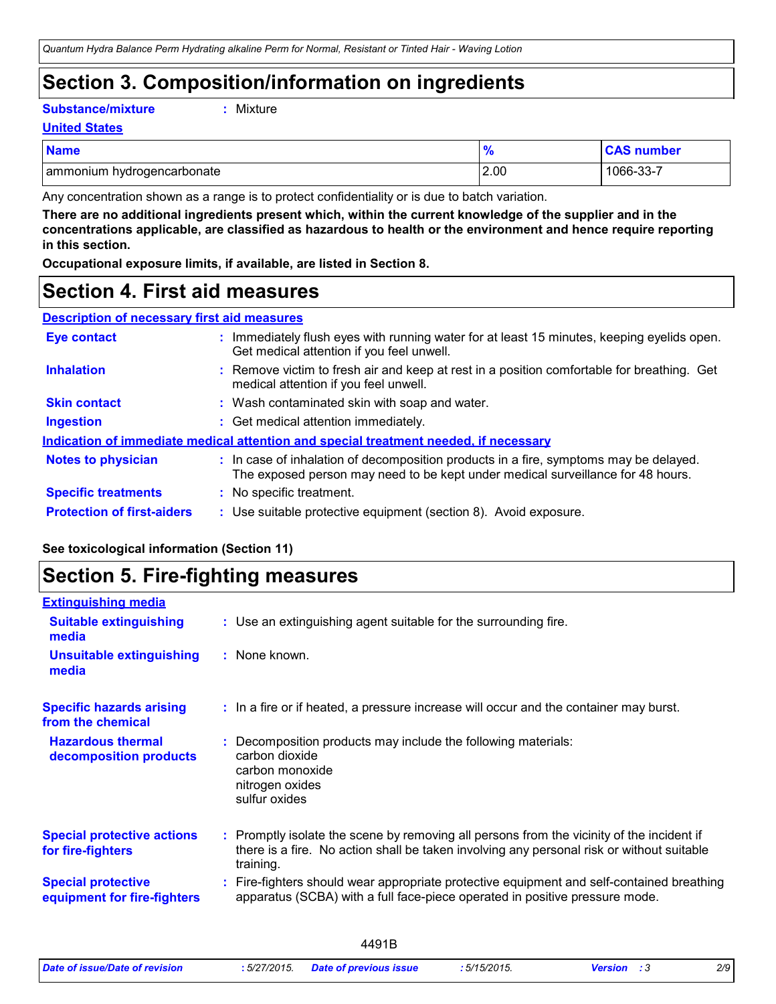# **Section 3. Composition/information on ingredients**

**Substance/mixture :**

```
: Mixture
```
**United States**

| <b>Name</b>                | 70   | <b>CAS number</b> |
|----------------------------|------|-------------------|
| ammonium hydrogencarbonate | 2.00 | 1066-33-7         |

Any concentration shown as a range is to protect confidentiality or is due to batch variation.

**There are no additional ingredients present which, within the current knowledge of the supplier and in the concentrations applicable, are classified as hazardous to health or the environment and hence require reporting in this section.**

**Occupational exposure limits, if available, are listed in Section 8.**

### **Section 4. First aid measures**

| <b>Description of necessary first aid measures</b> |
|----------------------------------------------------|
|----------------------------------------------------|

| <b>Eye contact</b>                | : Immediately flush eyes with running water for at least 15 minutes, keeping eyelids open.<br>Get medical attention if you feel unwell.                                  |
|-----------------------------------|--------------------------------------------------------------------------------------------------------------------------------------------------------------------------|
| <b>Inhalation</b>                 | : Remove victim to fresh air and keep at rest in a position comfortable for breathing. Get<br>medical attention if you feel unwell.                                      |
| <b>Skin contact</b>               | : Wash contaminated skin with soap and water.                                                                                                                            |
| Ingestion                         | : Get medical attention immediately.                                                                                                                                     |
|                                   | Indication of immediate medical attention and special treatment needed, if necessary                                                                                     |
| <b>Notes to physician</b>         | : In case of inhalation of decomposition products in a fire, symptoms may be delayed.<br>The exposed person may need to be kept under medical surveillance for 48 hours. |
| <b>Specific treatments</b>        | : No specific treatment.                                                                                                                                                 |
| <b>Protection of first-aiders</b> | : Use suitable protective equipment (section 8). Avoid exposure.                                                                                                         |

#### **See toxicological information (Section 11)**

### **Section 5. Fire-fighting measures**

| <b>Extinguishing media</b>                               |                                                                                                                                                                                                     |
|----------------------------------------------------------|-----------------------------------------------------------------------------------------------------------------------------------------------------------------------------------------------------|
| <b>Suitable extinguishing</b><br>media                   | : Use an extinguishing agent suitable for the surrounding fire.                                                                                                                                     |
| <b>Unsuitable extinguishing</b><br>media                 | : None known.                                                                                                                                                                                       |
| <b>Specific hazards arising</b><br>from the chemical     | : In a fire or if heated, a pressure increase will occur and the container may burst.                                                                                                               |
| <b>Hazardous thermal</b><br>decomposition products       | Decomposition products may include the following materials:<br>carbon dioxide<br>carbon monoxide<br>nitrogen oxides<br>sulfur oxides                                                                |
| <b>Special protective actions</b><br>for fire-fighters   | : Promptly isolate the scene by removing all persons from the vicinity of the incident if<br>there is a fire. No action shall be taken involving any personal risk or without suitable<br>training. |
| <b>Special protective</b><br>equipment for fire-fighters | Fire-fighters should wear appropriate protective equipment and self-contained breathing<br>apparatus (SCBA) with a full face-piece operated in positive pressure mode.                              |

| .                              |              |                        |             |         |     |
|--------------------------------|--------------|------------------------|-------------|---------|-----|
| Date of issue/Date of revision | : 5/27/2015. | Date of previous issue | : 5/15/2015 | Version | 2/9 |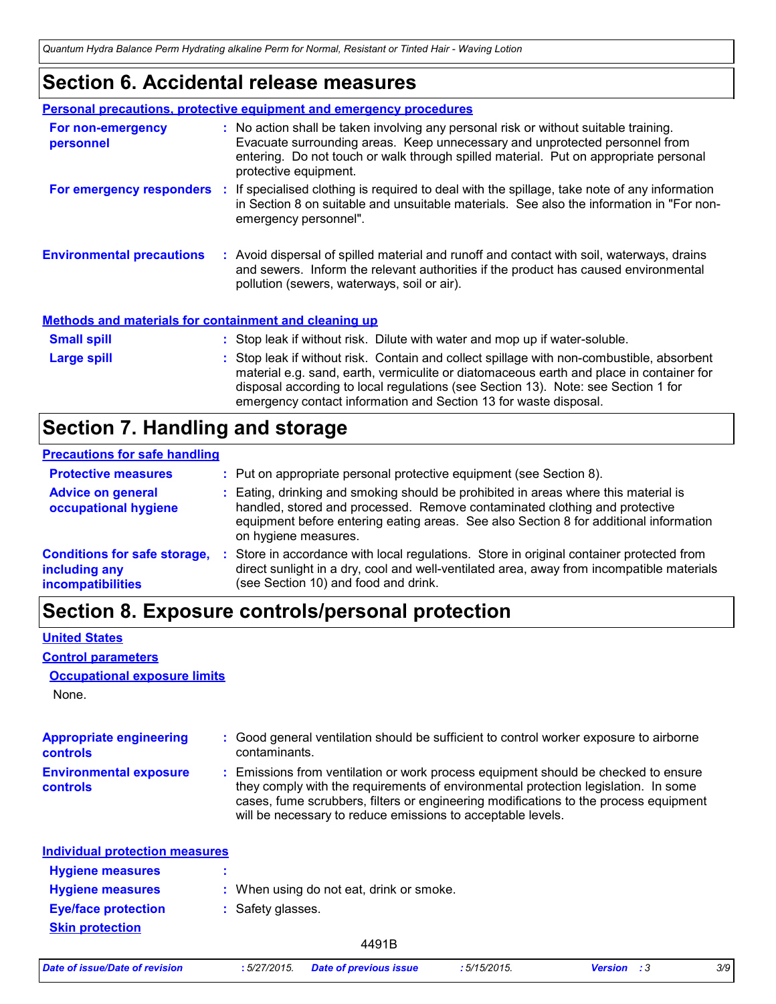### **Section 6. Accidental release measures**

|                                                              | <b>Personal precautions, protective equipment and emergency procedures</b>                                                                                                                                                                                                                                                                    |
|--------------------------------------------------------------|-----------------------------------------------------------------------------------------------------------------------------------------------------------------------------------------------------------------------------------------------------------------------------------------------------------------------------------------------|
| For non-emergency<br>personnel                               | : No action shall be taken involving any personal risk or without suitable training.<br>Evacuate surrounding areas. Keep unnecessary and unprotected personnel from<br>entering. Do not touch or walk through spilled material. Put on appropriate personal<br>protective equipment.                                                          |
|                                                              | For emergency responders : If specialised clothing is required to deal with the spillage, take note of any information<br>in Section 8 on suitable and unsuitable materials. See also the information in "For non-<br>emergency personnel".                                                                                                   |
| <b>Environmental precautions</b>                             | : Avoid dispersal of spilled material and runoff and contact with soil, waterways, drains<br>and sewers. Inform the relevant authorities if the product has caused environmental<br>pollution (sewers, waterways, soil or air).                                                                                                               |
| <b>Methods and materials for containment and cleaning up</b> |                                                                                                                                                                                                                                                                                                                                               |
| <b>Small spill</b>                                           | : Stop leak if without risk. Dilute with water and mop up if water-soluble.                                                                                                                                                                                                                                                                   |
| Large spill                                                  | : Stop leak if without risk. Contain and collect spillage with non-combustible, absorbent<br>material e.g. sand, earth, vermiculite or diatomaceous earth and place in container for<br>disposal according to local regulations (see Section 13). Note: see Section 1 for<br>emergency contact information and Section 13 for waste disposal. |

# **Section 7. Handling and storage**

#### **Precautions for safe handling**

| <b>Protective measures</b>                                                       | : Put on appropriate personal protective equipment (see Section 8).                                                                                                                                                                                                                |
|----------------------------------------------------------------------------------|------------------------------------------------------------------------------------------------------------------------------------------------------------------------------------------------------------------------------------------------------------------------------------|
| <b>Advice on general</b><br>occupational hygiene                                 | : Eating, drinking and smoking should be prohibited in areas where this material is<br>handled, stored and processed. Remove contaminated clothing and protective<br>equipment before entering eating areas. See also Section 8 for additional information<br>on hygiene measures. |
| <b>Conditions for safe storage,</b><br>including any<br><b>incompatibilities</b> | Store in accordance with local regulations. Store in original container protected from<br>direct sunlight in a dry, cool and well-ventilated area, away from incompatible materials<br>(see Section 10) and food and drink.                                                        |

# **Section 8. Exposure controls/personal protection**

#### **United States**

#### **Control parameters**

#### **Occupational exposure limits**

None.

| <b>Appropriate engineering</b><br><b>controls</b> | : Good general ventilation should be sufficient to control worker exposure to airborne<br>contaminants.                                                                                                                                                                                                                         |
|---------------------------------------------------|---------------------------------------------------------------------------------------------------------------------------------------------------------------------------------------------------------------------------------------------------------------------------------------------------------------------------------|
| <b>Environmental exposure</b><br><b>controls</b>  | : Emissions from ventilation or work process equipment should be checked to ensure<br>they comply with the requirements of environmental protection legislation. In some<br>cases, fume scrubbers, filters or engineering modifications to the process equipment<br>will be necessary to reduce emissions to acceptable levels. |
| <b>Individual protection measures</b>             |                                                                                                                                                                                                                                                                                                                                 |
| <b>Hygiene measures</b>                           |                                                                                                                                                                                                                                                                                                                                 |
| <b>Hygiene measures</b>                           | : When using do not eat, drink or smoke.                                                                                                                                                                                                                                                                                        |
| <b>Eye/face protection</b>                        | : Safety glasses.                                                                                                                                                                                                                                                                                                               |
| <b>Skin protection</b>                            |                                                                                                                                                                                                                                                                                                                                 |

|  | Date of issue/Date of revision |
|--|--------------------------------|
|  |                                |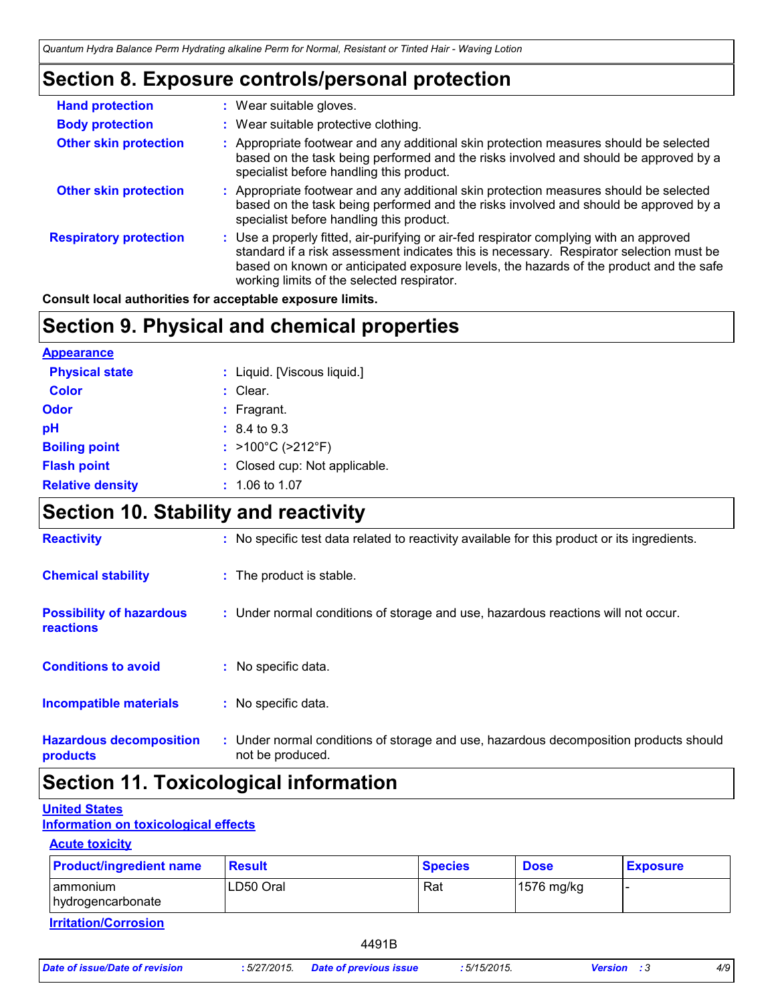### **Section 8. Exposure controls/personal protection**

| <b>Hand protection</b>        | : Wear suitable gloves.                                                                                                                                                                                                                                                                                                    |
|-------------------------------|----------------------------------------------------------------------------------------------------------------------------------------------------------------------------------------------------------------------------------------------------------------------------------------------------------------------------|
| <b>Body protection</b>        | : Wear suitable protective clothing.                                                                                                                                                                                                                                                                                       |
| <b>Other skin protection</b>  | : Appropriate footwear and any additional skin protection measures should be selected<br>based on the task being performed and the risks involved and should be approved by a<br>specialist before handling this product.                                                                                                  |
| <b>Other skin protection</b>  | : Appropriate footwear and any additional skin protection measures should be selected<br>based on the task being performed and the risks involved and should be approved by a<br>specialist before handling this product.                                                                                                  |
| <b>Respiratory protection</b> | : Use a properly fitted, air-purifying or air-fed respirator complying with an approved<br>standard if a risk assessment indicates this is necessary. Respirator selection must be<br>based on known or anticipated exposure levels, the hazards of the product and the safe<br>working limits of the selected respirator. |

**Consult local authorities for acceptable exposure limits.**

### **Section 9. Physical and chemical properties**

| <b>Appearance</b>       |                                        |
|-------------------------|----------------------------------------|
| <b>Physical state</b>   | : Liquid. [Viscous liquid.]            |
| <b>Color</b>            | : Clear.                               |
| <b>Odor</b>             | $:$ Fragrant.                          |
| рH                      | $: 8.4 \text{ to } 9.3$                |
| <b>Boiling point</b>    | : $>100^{\circ}$ C ( $>212^{\circ}$ F) |
| <b>Flash point</b>      | : Closed cup: Not applicable.          |
| <b>Relative density</b> | $: 1.06$ to 1.07                       |

# **Section 10. Stability and reactivity**

| <b>Reactivity</b>                            | : No specific test data related to reactivity available for this product or its ingredients.              |
|----------------------------------------------|-----------------------------------------------------------------------------------------------------------|
| <b>Chemical stability</b>                    | : The product is stable.                                                                                  |
| <b>Possibility of hazardous</b><br>reactions | : Under normal conditions of storage and use, hazardous reactions will not occur.                         |
| <b>Conditions to avoid</b>                   | : No specific data.                                                                                       |
| <b>Incompatible materials</b>                | : No specific data.                                                                                       |
| <b>Hazardous decomposition</b><br>products   | : Under normal conditions of storage and use, hazardous decomposition products should<br>not be produced. |

### **Section 11. Toxicological information**

#### **United States**

**Information on toxicological effects**

#### **Acute toxicity**

| <b>Product/ingredient name</b>     | Result    | <b>Species</b> | <b>Dose</b> | <b>Exposure</b> |
|------------------------------------|-----------|----------------|-------------|-----------------|
| ammonium<br>hydrogencarbonate      | LD50 Oral | Rat            | 1576 mg/kg  |                 |
| المتمالح ومستورها وتتملك والقوانسة |           |                |             |                 |

**Irritation/Corrosion**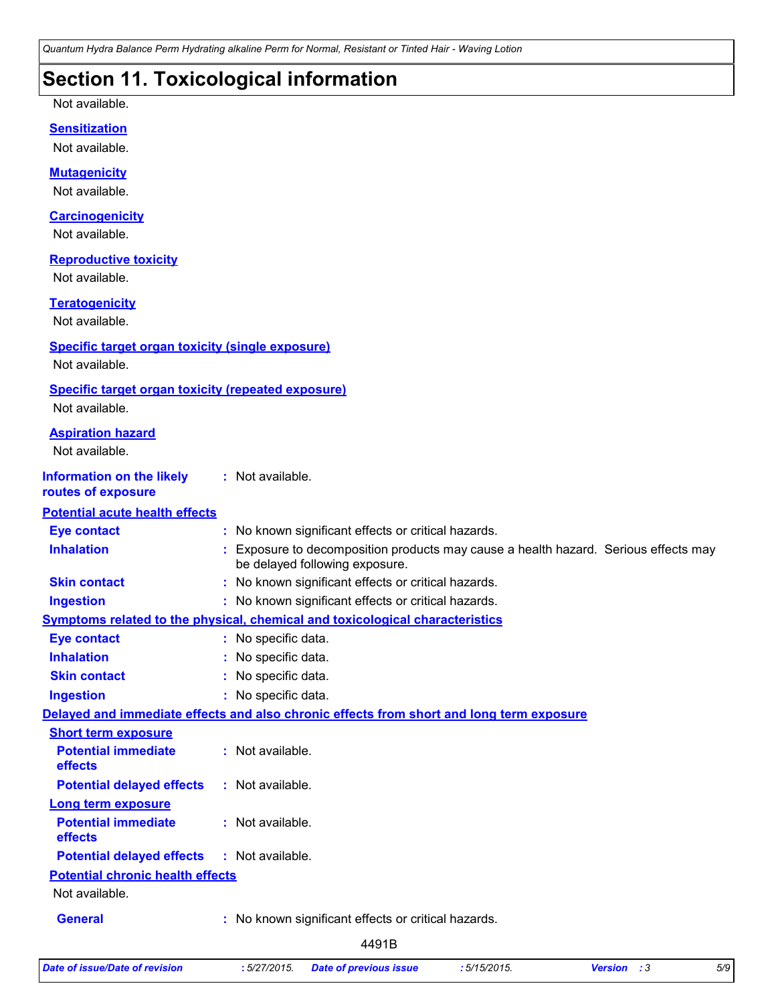*Quantum Hydra Balance Perm Hydrating alkaline Perm for Normal, Resistant or Tinted Hair - Waving Lotion*

# **Section 11. Toxicological information**

Not available.

#### **Sensitization**

Not available.

#### **Mutagenicity**

Not available.

#### **Carcinogenicity**

Not available.

#### **Reproductive toxicity**

Not available.

#### **Teratogenicity**

Not available.

#### **Specific target organ toxicity (single exposure)**

Not available.

#### **Specific target organ toxicity (repeated exposure)**

Not available.

| <b>Aspiration hazard</b>                               |    |                                                                                                                     |
|--------------------------------------------------------|----|---------------------------------------------------------------------------------------------------------------------|
| Not available.                                         |    |                                                                                                                     |
| <b>Information on the likely</b><br>routes of exposure |    | : Not available.                                                                                                    |
| <b>Potential acute health effects</b>                  |    |                                                                                                                     |
| <b>Eye contact</b>                                     | ÷. | No known significant effects or critical hazards.                                                                   |
| <b>Inhalation</b>                                      |    | Exposure to decomposition products may cause a health hazard. Serious effects may<br>be delayed following exposure. |
| <b>Skin contact</b>                                    |    | No known significant effects or critical hazards.                                                                   |
| <b>Ingestion</b>                                       |    | : No known significant effects or critical hazards.                                                                 |
|                                                        |    | Symptoms related to the physical, chemical and toxicological characteristics                                        |
| <b>Eye contact</b>                                     |    | : No specific data.                                                                                                 |
| <b>Inhalation</b>                                      |    | No specific data.                                                                                                   |
| <b>Skin contact</b>                                    |    | No specific data.                                                                                                   |
| <b>Ingestion</b>                                       |    | : No specific data.                                                                                                 |
|                                                        |    | Delayed and immediate effects and also chronic effects from short and long term exposure                            |
| <b>Short term exposure</b>                             |    |                                                                                                                     |
| <b>Potential immediate</b><br>effects                  |    | : Not available.                                                                                                    |
| <b>Potential delayed effects</b>                       |    | : Not available.                                                                                                    |
| <b>Long term exposure</b>                              |    |                                                                                                                     |
| <b>Potential immediate</b><br>effects                  |    | $:$ Not available.                                                                                                  |
| <b>Potential delayed effects</b>                       |    | : Not available.                                                                                                    |
| <b>Potential chronic health effects</b>                |    |                                                                                                                     |
| Not available.                                         |    |                                                                                                                     |
| <b>General</b>                                         |    | No known significant effects or critical hazards.                                                                   |
|                                                        |    | 4401D                                                                                                               |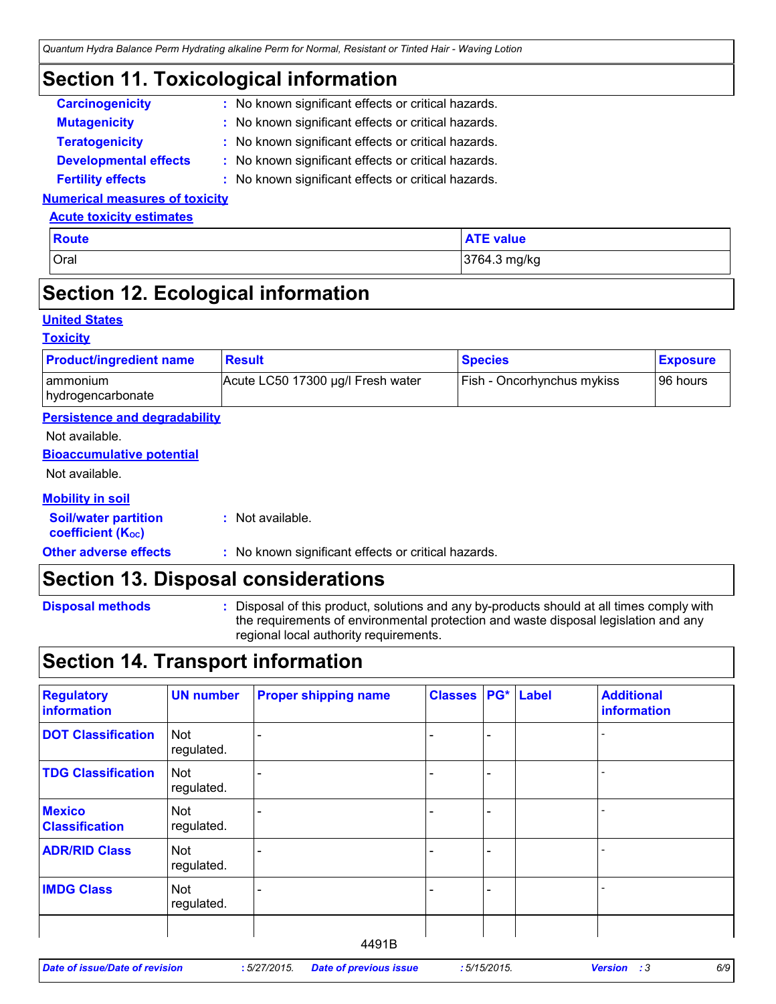### **Section 11. Toxicological information**

| <b>Carcinogenicity</b>       | : No known significant effects or critical hazards. |
|------------------------------|-----------------------------------------------------|
| <b>Mutagenicity</b>          | : No known significant effects or critical hazards. |
| <b>Teratogenicity</b>        | : No known significant effects or critical hazards. |
| <b>Developmental effects</b> | : No known significant effects or critical hazards. |

#### **Fertility effects :** No known significant effects or critical hazards.

#### **Numerical measures of toxicity**

#### **Acute toxicity estimates**

| Oral<br>3764.3 mg/kg | <b>Route</b> | <b>ATE value</b> |
|----------------------|--------------|------------------|
|                      |              |                  |

### **Section 12. Ecological information**

#### **United States**

#### **Toxicity**

| <b>Product/ingredient name</b>                          | <b>Result</b>                                       | <b>Species</b>             | <b>Exposure</b> |
|---------------------------------------------------------|-----------------------------------------------------|----------------------------|-----------------|
| ammonium<br>hydrogencarbonate                           | Acute LC50 17300 µg/l Fresh water                   | Fish - Oncorhynchus mykiss | 96 hours        |
| <b>Persistence and degradability</b>                    |                                                     |                            |                 |
| Not available.                                          |                                                     |                            |                 |
| <b>Bioaccumulative potential</b>                        |                                                     |                            |                 |
| Not available.                                          |                                                     |                            |                 |
| <b>Mobility in soil</b>                                 |                                                     |                            |                 |
| <b>Soil/water partition</b><br><b>coefficient (Koc)</b> | : Not available.                                    |                            |                 |
| <b>Other adverse effects</b>                            | : No known significant effects or critical hazards. |                            |                 |

### **Section 13. Disposal considerations**

| <b>Disposal methods</b> |
|-------------------------|
|                         |

**Disposal methods** : Disposal of this product, solutions and any by-products should at all times comply with the requirements of environmental protection and waste disposal legislation and any regional local authority requirements.

### **Section 14. Transport information**

| <b>Regulatory</b><br>information       | <b>UN number</b>         | <b>Proper shipping name</b> | <b>Classes</b> |   | <b>PG*</b> Label | <b>Additional</b><br>information |
|----------------------------------------|--------------------------|-----------------------------|----------------|---|------------------|----------------------------------|
| <b>DOT Classification</b>              | <b>Not</b><br>regulated. |                             |                |   |                  |                                  |
| <b>TDG Classification</b>              | Not<br>regulated.        |                             |                | ÷ |                  |                                  |
| <b>Mexico</b><br><b>Classification</b> | Not<br>regulated.        |                             |                | ۳ |                  |                                  |
| <b>ADR/RID Class</b>                   | <b>Not</b><br>regulated. |                             |                |   |                  |                                  |
| <b>IMDG Class</b>                      | Not<br>regulated.        |                             |                | ۰ |                  |                                  |
|                                        |                          |                             |                |   |                  |                                  |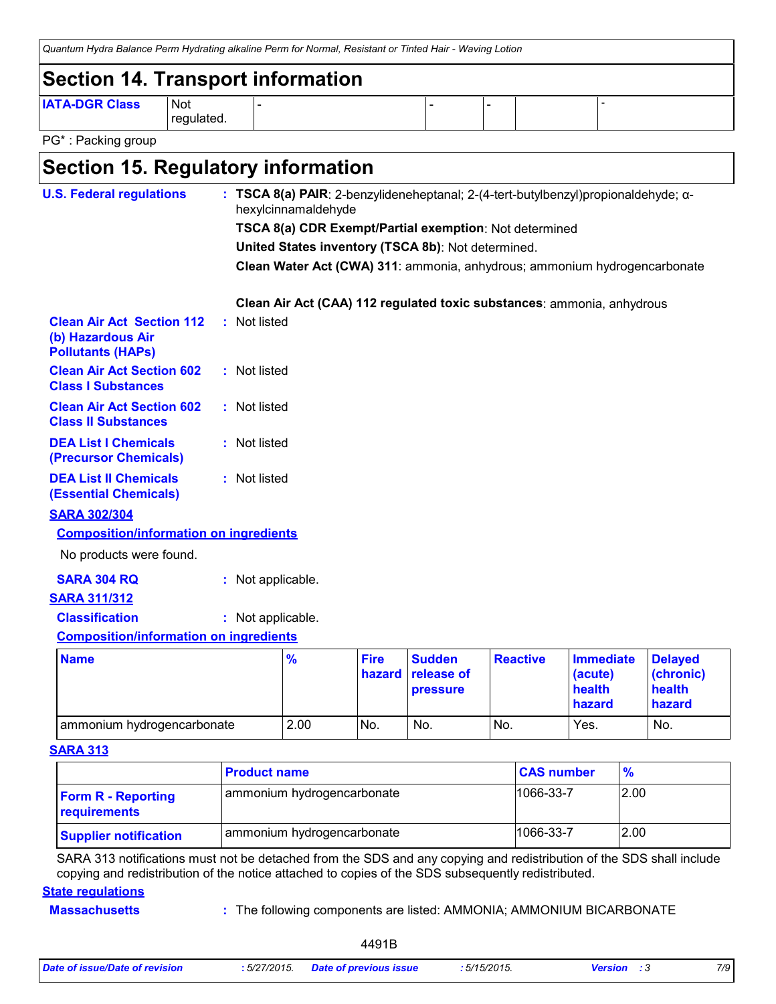|                                                                        |                     | Quantum Hydra Balance Perm Hydrating alkaline Perm for Normal, Resistant or Tinted Hair - Waving Lotion |  |  |
|------------------------------------------------------------------------|---------------------|---------------------------------------------------------------------------------------------------------|--|--|
| Section 14. Transport information                                      |                     |                                                                                                         |  |  |
| <b>IATA-DGR Class</b>                                                  | l Not<br>regulated. |                                                                                                         |  |  |
| $\mathsf{D}\mathsf{O}$ $\mathsf{k}$ . $\mathsf{D}\mathsf{A}\mathsf{A}$ |                     |                                                                                                         |  |  |

PG\* : Packing group

# **Section 15. Regulatory information**

| <b>U.S. Federal regulations</b>                                                   |  |                   | hexylcinnamaldehyde |                       |                                                    |                                                        | : TSCA 8(a) PAIR: 2-benzylideneheptanal; 2-(4-tert-butylbenzyl)propionaldehyde; a- |                                       |
|-----------------------------------------------------------------------------------|--|-------------------|---------------------|-----------------------|----------------------------------------------------|--------------------------------------------------------|------------------------------------------------------------------------------------|---------------------------------------|
|                                                                                   |  |                   |                     |                       |                                                    | TSCA 8(a) CDR Exempt/Partial exemption: Not determined |                                                                                    |                                       |
|                                                                                   |  |                   |                     |                       | United States inventory (TSCA 8b): Not determined. |                                                        |                                                                                    |                                       |
|                                                                                   |  |                   |                     |                       |                                                    |                                                        | Clean Water Act (CWA) 311: ammonia, anhydrous; ammonium hydrogencarbonate          |                                       |
|                                                                                   |  |                   |                     |                       |                                                    |                                                        | Clean Air Act (CAA) 112 regulated toxic substances: ammonia, anhydrous             |                                       |
| <b>Clean Air Act Section 112</b><br>(b) Hazardous Air<br><b>Pollutants (HAPs)</b> |  | : Not listed      |                     |                       |                                                    |                                                        |                                                                                    |                                       |
| <b>Clean Air Act Section 602</b><br><b>Class I Substances</b>                     |  | : Not listed      |                     |                       |                                                    |                                                        |                                                                                    |                                       |
| <b>Clean Air Act Section 602</b><br><b>Class II Substances</b>                    |  | : Not listed      |                     |                       |                                                    |                                                        |                                                                                    |                                       |
| <b>DEA List I Chemicals</b><br>(Precursor Chemicals)                              |  | : Not listed      |                     |                       |                                                    |                                                        |                                                                                    |                                       |
| <b>DEA List II Chemicals</b><br><b>(Essential Chemicals)</b>                      |  | : Not listed      |                     |                       |                                                    |                                                        |                                                                                    |                                       |
| <b>SARA 302/304</b>                                                               |  |                   |                     |                       |                                                    |                                                        |                                                                                    |                                       |
| <b>Composition/information on ingredients</b>                                     |  |                   |                     |                       |                                                    |                                                        |                                                                                    |                                       |
| No products were found.                                                           |  |                   |                     |                       |                                                    |                                                        |                                                                                    |                                       |
| <b>SARA 304 RQ</b>                                                                |  | : Not applicable. |                     |                       |                                                    |                                                        |                                                                                    |                                       |
| <b>SARA 311/312</b>                                                               |  |                   |                     |                       |                                                    |                                                        |                                                                                    |                                       |
| <b>Classification</b>                                                             |  | : Not applicable. |                     |                       |                                                    |                                                        |                                                                                    |                                       |
| <b>Composition/information on ingredients</b>                                     |  |                   |                     |                       |                                                    |                                                        |                                                                                    |                                       |
| <b>Name</b>                                                                       |  |                   | $\frac{9}{6}$       | <b>Fire</b><br>hazard | <b>Sudden</b><br>release of<br>pressure            | <b>Reactive</b>                                        | <b>Immediate</b><br>(acute)<br>health                                              | <b>Delayed</b><br>(chronic)<br>health |

#### **SARA 313**

|                                           | <b>Product name</b>        | <b>CAS number</b> | $\frac{9}{6}$ |
|-------------------------------------------|----------------------------|-------------------|---------------|
| <b>Form R - Reporting</b><br>requirements | ammonium hydrogencarbonate | 1066-33-7         | 2.00          |
| <b>Supplier notification</b>              | ammonium hydrogencarbonate | 1066-33-7         | 2.00          |

ammonium hydrogencarbonate  $\vert$  2.00  $\vert$  No.  $\vert$  No.  $\vert$  No.  $\vert$  Yes.  $\vert$  No.

SARA 313 notifications must not be detached from the SDS and any copying and redistribution of the SDS shall include copying and redistribution of the notice attached to copies of the SDS subsequently redistributed.

#### **State regulations**

**Massachusetts**

#### The following components are listed: AMMONIA; AMMONIUM BICARBONATE **:**

4491B

**hazard**

**hazard**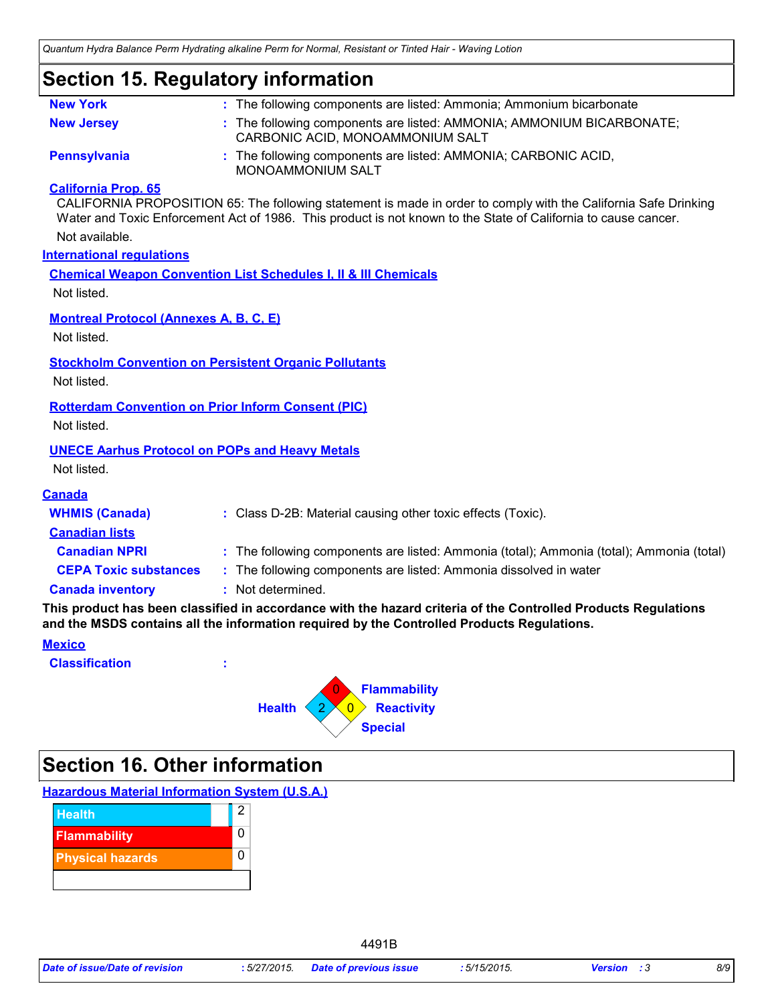# **Section 15. Regulatory information**

| <b>New York</b>                                           | : The following components are listed: Ammonia; Ammonium bicarbonate                                                                                                                                                              |
|-----------------------------------------------------------|-----------------------------------------------------------------------------------------------------------------------------------------------------------------------------------------------------------------------------------|
| <b>New Jersey</b>                                         | : The following components are listed: AMMONIA; AMMONIUM BICARBONATE;<br>CARBONIC ACID, MONOAMMONIUM SALT                                                                                                                         |
| <b>Pennsylvania</b>                                       | : The following components are listed: AMMONIA; CARBONIC ACID,<br>MONOAMMONIUM SALT                                                                                                                                               |
| <b>California Prop. 65</b>                                | CALIFORNIA PROPOSITION 65: The following statement is made in order to comply with the California Safe Drinking<br>Water and Toxic Enforcement Act of 1986. This product is not known to the State of California to cause cancer. |
| Not available.                                            |                                                                                                                                                                                                                                   |
| <b>International regulations</b>                          |                                                                                                                                                                                                                                   |
|                                                           | <b>Chemical Weapon Convention List Schedules I, II &amp; III Chemicals</b>                                                                                                                                                        |
| Not listed.                                               |                                                                                                                                                                                                                                   |
| <b>Montreal Protocol (Annexes A, B, C, E)</b>             |                                                                                                                                                                                                                                   |
| Not listed.                                               |                                                                                                                                                                                                                                   |
|                                                           | <b>Stockholm Convention on Persistent Organic Pollutants</b>                                                                                                                                                                      |
| Not listed.                                               |                                                                                                                                                                                                                                   |
| <b>Rotterdam Convention on Prior Inform Consent (PIC)</b> |                                                                                                                                                                                                                                   |
| Not listed.                                               |                                                                                                                                                                                                                                   |
| <b>UNECE Aarhus Protocol on POPs and Heavy Metals</b>     |                                                                                                                                                                                                                                   |
| Not listed.                                               |                                                                                                                                                                                                                                   |
| <b>Canada</b>                                             |                                                                                                                                                                                                                                   |
| <b>WHMIS (Canada)</b>                                     | : Class D-2B: Material causing other toxic effects (Toxic).                                                                                                                                                                       |
| <b>Canadian lists</b>                                     |                                                                                                                                                                                                                                   |
| <b>Canadian NPRI</b>                                      | : The following components are listed: Ammonia (total); Ammonia (total); Ammonia (total)                                                                                                                                          |
| <b>CEPA Toxic substances</b>                              | : The following components are listed: Ammonia dissolved in water                                                                                                                                                                 |
| <b>Canada inventory</b>                                   | : Not determined.                                                                                                                                                                                                                 |
|                                                           | This product has been classified in accordance with the hazard criteria of the Controlled Products Regulations<br>and the MSDS contains all the information required by the Controlled Products Regulations.                      |
| <b>Mexico</b>                                             |                                                                                                                                                                                                                                   |
| <b>Classification</b>                                     |                                                                                                                                                                                                                                   |

**Special 0 Reactivity Flammability** 0 Health 2 0

# **Section 16. Other information**

**Hazardous Material Information System (U.S.A.)**